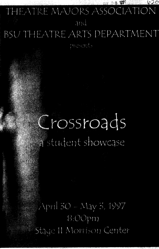# THEATRE MAJORS ASSOCIATION

 $1020$ 

## and

# **BSU THEATRE ARTS DEPARTMENT**

# Crossroads student showcase

April 30 - May 3, 1997 8:00pm Staye II Morrison Center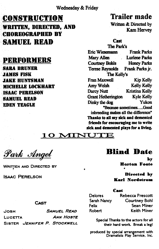#### Wednesday & Friday

# **CONSTRUCTION** Trailer made

WRITTEN, DIRECTED, AND **CHORROGRAPHED BY** SAMUEL READ

### PERFORMEllS

SABA. BRUNER .JAHES FISK .JAKE HlJNTSHAN MICHELLE LOCKHART ISAAC PERELSON SAHUEL BEAD EDEN TEAGLE

Written & Directed by<br>Kam Hervey

#### Cast

| The Park's                            |                       |
|---------------------------------------|-----------------------|
| <b>Eric Wiesemann</b>                 | <b>Frank Parks</b>    |
| Mary Allen                            | <b>Lurlene Parks</b>  |
| <b>Courtney Bohls</b>                 | <b>Honey Parks</b>    |
| <b>Terese Reynolds</b>                | Frank Parks ir.       |
| The Kelly's                           |                       |
| <b>Fran Maxwell</b>                   | <b>Kip Kelly</b>      |
| Amy Welsh                             | <b>Kelly Kelly</b>    |
| Darcy Nutt                            | <b>Kristina Kelly</b> |
| <b>Grant Hetherington</b>             | <b>Kyle Kelly</b>     |
| Dinky the dog                         | Yukon                 |
| "Because sometimesGood                |                       |
| inbreeding makes all the difference"  |                       |
| Thanks to all my sick and demented    |                       |
| friends for encouraging me to write   |                       |
| sick and demented plays for a living. |                       |

#### $\boldsymbol{\mathcal{L}}$ AI T 10~TECH 10~TECH 10~TECH 10~TECH 10~TECH 10~TECH 10~TECH 10~TECH 10~TECH 10~TECH 10~TECH 10~TECH 10~TECH 10~TEC

•

<u> Park Angel</u>

WRITTEN AND DIRECTED BY

ISAAC PERELSON

## Bliad Date

•

., Hortoa Foote

Directed by Karl Nordstrom

#### f::a•t

Delores Sarah Nancy Felix Robert

Rebecca Prescott Courtney Bohl Sean Miner Keith Miner

Special Thanks to the actors for all their hard work. Break a leg!

produced by special arrangement with Dramatists Play Service, Inc.

#### CAsT

JOSH SAMUEL READ ~OSH **ANN HOSTE** LUCETTA SISTER JENNIFER *P.* STOCKWELL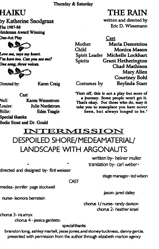Thursday & Saturday

# HAIKU

by Katherine Snodgrass llhe 1987-88 Heideman Award Winning One-Act Play



L*ove me, says my heart. r n* kere too. Can you see me? One song, three voices.



Directed by:

Karen Craig

*Well:*  Louise: *Billie:*  Cast Karen Wennstrom Julie Nordstrom Eden Teagle

#### **Special thanks**

Bodie Stout and Dr. Gould

# THE RAIN

written and directed by Eric D. Wiesemann

Cast

Mother Maria Demetriou Child Monica Mason Spirit Leader Michelle Lockhart Spirits Grant Hetherington Chad Mathison **Mary Allen** Courtney Bohl Costumes by Beylnda Starr

"First off, this is not a play but more of <sup>a</sup>journey. Some people won't get it. That's okay. For those who do, may it take you to someplace you have never been, but always longed to be."

# INTERMISSION DESPOILED SHORE/MEDEAMATERIAL/ LANDSCAPE WITH ARGONAUTS

CAST

directed and designed by- flint weisser

medea- jennifer page stockwell

nurse-leonora bernstein

• •

written by- heiner muller translation by- carl weber•

stage manager-ted wilson

jason- jared dailey

chorus 1/nurse- randy davison chorus 2- heather israel

chorus 3- ira amyx

chorus 4 - jessica gardetto

special thanks

brandon long, ashley martell, jesse jones,and stoneytuckness, danny garcia; presented with permission from the author through elizabeth marton agency